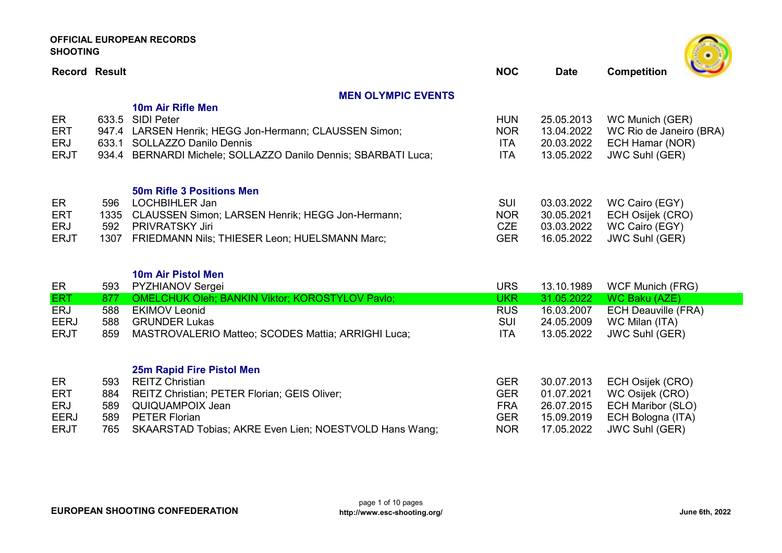| <b>Record Result</b>                          |                            |                                                                                                                                                                                                     | <b>NOC</b>                                           | <b>Date</b>                                          | $\mathcal{L} = \mathcal{L}$<br><b>Competition</b>                                      |
|-----------------------------------------------|----------------------------|-----------------------------------------------------------------------------------------------------------------------------------------------------------------------------------------------------|------------------------------------------------------|------------------------------------------------------|----------------------------------------------------------------------------------------|
|                                               |                            | <b>MEN OLYMPIC EVENTS</b>                                                                                                                                                                           |                                                      |                                                      |                                                                                        |
| ER<br><b>ERT</b><br>ERJ<br><b>ERJT</b>        | 633.5<br>633.1             | 10m Air Rifle Men<br><b>SIDI Peter</b><br>947.4 LARSEN Henrik; HEGG Jon-Hermann; CLAUSSEN Simon;<br><b>SOLLAZZO Danilo Dennis</b><br>934.4 BERNARDI Michele; SOLLAZZO Danilo Dennis; SBARBATI Luca; | <b>HUN</b><br><b>NOR</b><br><b>ITA</b><br><b>ITA</b> | 25.05.2013<br>13.04.2022<br>20.03.2022<br>13.05.2022 | WC Munich (GER)<br>WC Rio de Janeiro (BRA)<br>ECH Hamar (NOR)<br><b>JWC Suhl (GER)</b> |
| ER<br><b>ERT</b><br><b>ERJ</b><br><b>ERJT</b> | 596<br>1335<br>592<br>1307 | <b>50m Rifle 3 Positions Men</b><br>LOCHBIHLER Jan<br>CLAUSSEN Simon; LARSEN Henrik; HEGG Jon-Hermann;<br><b>PRIVRATSKY Jiri</b><br>FRIEDMANN Nils; THIESER Leon; HUELSMANN Marc;                   | <b>SUI</b><br><b>NOR</b><br><b>CZE</b><br><b>GER</b> | 03.03.2022<br>30.05.2021<br>03.03.2022<br>16.05.2022 | WC Cairo (EGY)<br>ECH Osijek (CRO)<br>WC Cairo (EGY)<br><b>JWC Suhl (GER)</b>          |
| ER                                            | 593                        | 10m Air Pistol Men<br><b>PYZHIANOV Sergei</b>                                                                                                                                                       | <b>URS</b>                                           | 13.10.1989                                           | <b>WCF Munich (FRG)</b>                                                                |
| <b>ERT</b><br><b>ERJ</b>                      | 877<br>588                 | <b>OMELCHUK Oleh; BANKIN Viktor; KOROSTYLOV Pavlo;</b><br><b>EKIMOV Leonid</b>                                                                                                                      | <b>UKR</b><br><b>RUS</b>                             | 31.05.2022                                           | <b>WC Baku (AZE)</b>                                                                   |
| <b>EERJ</b>                                   | 588                        | <b>GRUNDER Lukas</b>                                                                                                                                                                                | <b>SUI</b>                                           | 16.03.2007<br>24.05.2009                             | <b>ECH Deauville (FRA)</b><br>WC Milan (ITA)                                           |
| <b>ERJT</b>                                   | 859                        | MASTROVALERIO Matteo; SCODES Mattia; ARRIGHI Luca;                                                                                                                                                  | <b>ITA</b>                                           | 13.05.2022                                           | <b>JWC Suhl (GER)</b>                                                                  |
| ER<br><b>ERT</b>                              | 593<br>884                 | 25m Rapid Fire Pistol Men<br><b>REITZ Christian</b><br>REITZ Christian; PETER Florian; GEIS Oliver;                                                                                                 | <b>GER</b><br><b>GER</b>                             | 30.07.2013<br>01.07.2021                             | ECH Osijek (CRO)<br>WC Osijek (CRO)                                                    |
| <b>ERJ</b>                                    | 589                        | QUIQUAMPOIX Jean                                                                                                                                                                                    | <b>FRA</b>                                           | 26.07.2015                                           | <b>ECH Maribor (SLO)</b>                                                               |
| <b>EERJ</b>                                   | 589                        | <b>PETER Florian</b>                                                                                                                                                                                | <b>GER</b>                                           | 15.09.2019                                           | ECH Bologna (ITA)                                                                      |
| <b>ERJT</b>                                   | 765                        | SKAARSTAD Tobias; AKRE Even Lien; NOESTVOLD Hans Wang;                                                                                                                                              | <b>NOR</b>                                           | 17.05.2022                                           | <b>JWC Suhl (GER)</b>                                                                  |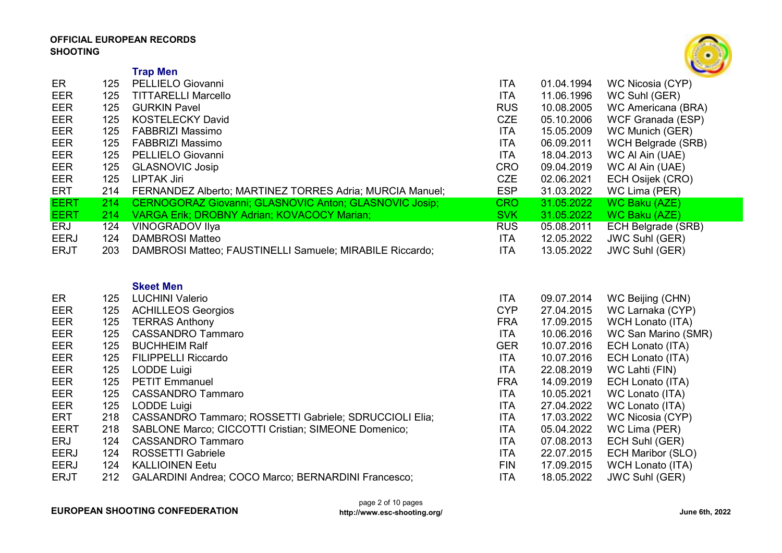

|             |            | <b>Trap Men</b>                                          |            |            | --                        |
|-------------|------------|----------------------------------------------------------|------------|------------|---------------------------|
| ER          | 125        | PELLIELO Giovanni                                        | <b>ITA</b> | 01.04.1994 | WC Nicosia (CYP)          |
| <b>EER</b>  | 125        | <b>TITTARELLI Marcello</b>                               | <b>ITA</b> | 11.06.1996 | WC Suhl (GER)             |
| <b>EER</b>  | 125        | <b>GURKIN Pavel</b>                                      | <b>RUS</b> | 10.08.2005 | WC Americana (BRA)        |
| EER         | 125        | <b>KOSTELECKY David</b>                                  | <b>CZE</b> | 05.10.2006 | WCF Granada (ESP)         |
| EER         | 125        | <b>FABBRIZI Massimo</b>                                  | <b>ITA</b> | 15.05.2009 | WC Munich (GER)           |
| <b>EER</b>  | 125        | <b>FABBRIZI Massimo</b>                                  | <b>ITA</b> | 06.09.2011 | <b>WCH Belgrade (SRB)</b> |
| <b>EER</b>  | 125        | PELLIELO Giovanni                                        | <b>ITA</b> | 18.04.2013 | WC AI Ain (UAE)           |
| <b>EER</b>  | 125        | <b>GLASNOVIC Josip</b>                                   | <b>CRO</b> | 09.04.2019 | WC AI Ain (UAE)           |
| EER         | 125        | <b>LIPTAK Jiri</b>                                       | <b>CZE</b> | 02.06.2021 | ECH Osijek (CRO)          |
| <b>ERT</b>  | 214        | FERNANDEZ Alberto; MARTINEZ TORRES Adria; MURCIA Manuel; | <b>ESP</b> | 31.03.2022 | WC Lima (PER)             |
| <b>EERT</b> | 214        | CERNOGORAZ Giovanni; GLASNOVIC Anton; GLASNOVIC Josip;   | <b>CRO</b> | 31.05.2022 | <b>WC Baku (AZE)</b>      |
| <b>EERT</b> | 214        | VARGA Erik; DROBNY Adrian; KOVACOCY Marian;              | <b>SVK</b> | 31.05.2022 | <b>WC Baku (AZE)</b>      |
| <b>ERJ</b>  | 124        | <b>VINOGRADOV IIya</b>                                   | <b>RUS</b> | 05.08.2011 | ECH Belgrade (SRB)        |
| <b>EERJ</b> | 124        | <b>DAMBROSI Matteo</b>                                   | <b>ITA</b> | 12.05.2022 | <b>JWC Suhl (GER)</b>     |
| <b>ERJT</b> | 203        | DAMBROSI Matteo; FAUSTINELLI Samuele; MIRABILE Riccardo; | <b>ITA</b> | 13.05.2022 | <b>JWC Suhl (GER)</b>     |
|             |            |                                                          |            |            |                           |
|             |            |                                                          |            |            |                           |
|             |            | <b>Skeet Men</b>                                         |            |            |                           |
| <b>ER</b>   | 125        | <b>LUCHINI Valerio</b>                                   | <b>ITA</b> | 09.07.2014 | WC Beijing (CHN)          |
| EER         | 125        | <b>ACHILLEOS Georgios</b>                                | <b>CYP</b> | 27.04.2015 | WC Larnaka (CYP)          |
| EER         | 125        | <b>TERRAS Anthony</b>                                    | <b>FRA</b> | 17.09.2015 | WCH Lonato (ITA)          |
| EER         | 125        | <b>CASSANDRO Tammaro</b>                                 | <b>ITA</b> | 10.06.2016 | WC San Marino (SMR)       |
| <b>EER</b>  | 125        | <b>BUCHHEIM Ralf</b>                                     | <b>GER</b> | 10.07.2016 | ECH Lonato (ITA)          |
| EER         | 125        | <b>FILIPPELLI Riccardo</b>                               | <b>ITA</b> | 10.07.2016 | ECH Lonato (ITA)          |
| EER         | 125        | <b>LODDE Luigi</b>                                       | <b>ITA</b> | 22.08.2019 | WC Lahti (FIN)            |
| EER         | 125        | <b>PETIT Emmanuel</b>                                    | <b>FRA</b> | 14.09.2019 | ECH Lonato (ITA)          |
| <b>EER</b>  | 125        | <b>CASSANDRO Tammaro</b>                                 | <b>ITA</b> | 10.05.2021 | WC Lonato (ITA)           |
| <b>EER</b>  | 125        | <b>LODDE Luigi</b>                                       | <b>ITA</b> | 27.04.2022 | WC Lonato (ITA)           |
| <b>ERT</b>  | 218        | CASSANDRO Tammaro; ROSSETTI Gabriele; SDRUCCIOLI Elia;   | <b>ITA</b> | 17.03.2022 | WC Nicosia (CYP)          |
| <b>EERT</b> | 218        | SABLONE Marco; CICCOTTI Cristian; SIMEONE Domenico;      | <b>ITA</b> | 05.04.2022 | WC Lima (PER)             |
| ERJ         | 124        | <b>CASSANDRO Tammaro</b>                                 | <b>ITA</b> | 07.08.2013 | ECH Suhl (GER)            |
| <b>EERJ</b> | 124<br>124 | <b>ROSSETTI Gabriele</b>                                 | <b>ITA</b> | 22.07.2015 | <b>ECH Maribor (SLO)</b>  |
| <b>EERJ</b> |            | <b>KALLIOINEN Eetu</b>                                   | <b>FIN</b> | 17.09.2015 | <b>WCH Lonato (ITA)</b>   |

ERJT 212 GALARDINI Andrea; COCO Marco; BERNARDINI Francesco; ITA 18.05.2022 JWC Suhl (GER)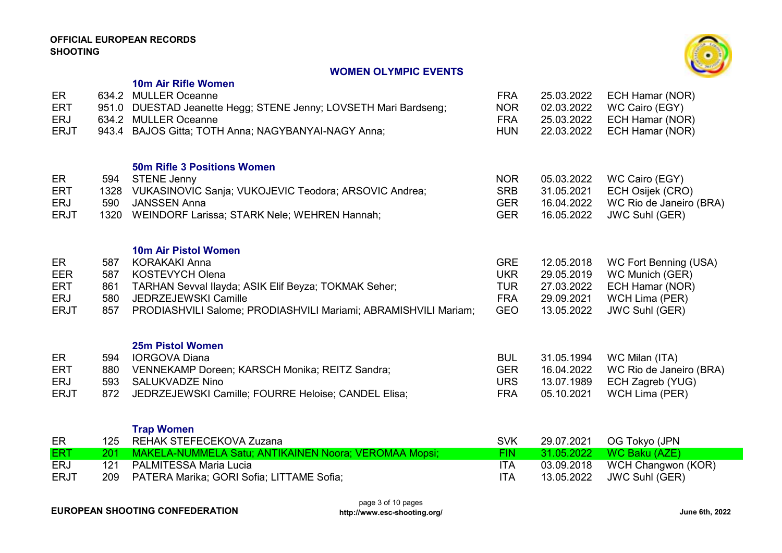## WOMEN OLYMPIC EVENTS



|                           |             | 10m Air Rifle Women                                                                      |                          |                          |                                                 |
|---------------------------|-------------|------------------------------------------------------------------------------------------|--------------------------|--------------------------|-------------------------------------------------|
| ER<br><b>ERT</b>          |             | 634.2 MULLER Oceanne<br>951.0 DUESTAD Jeanette Hegg; STENE Jenny; LOVSETH Mari Bardseng; | <b>FRA</b><br><b>NOR</b> | 25.03.2022<br>02.03.2022 | ECH Hamar (NOR)<br>WC Cairo (EGY)               |
| <b>ERJ</b><br><b>ERJT</b> |             | 634.2 MULLER Oceanne<br>943.4 BAJOS Gitta; TOTH Anna; NAGYBANYAI-NAGY Anna;              | <b>FRA</b><br><b>HUN</b> | 25.03.2022<br>22.03.2022 | ECH Hamar (NOR)<br>ECH Hamar (NOR)              |
|                           |             |                                                                                          |                          |                          |                                                 |
|                           |             | <b>50m Rifle 3 Positions Women</b>                                                       |                          |                          |                                                 |
| ER                        | 594         | <b>STENE Jenny</b>                                                                       | <b>NOR</b>               | 05.03.2022               | WC Cairo (EGY)                                  |
| <b>ERT</b><br><b>ERJ</b>  | 1328<br>590 | VUKASINOVIC Sanja; VUKOJEVIC Teodora; ARSOVIC Andrea;<br><b>JANSSEN Anna</b>             | <b>SRB</b><br><b>GER</b> | 31.05.2021<br>16.04.2022 | ECH Osijek (CRO)<br>WC Rio de Janeiro (BRA)     |
| <b>ERJT</b>               | 1320        | WEINDORF Larissa; STARK Nele; WEHREN Hannah;                                             | <b>GER</b>               | 16.05.2022               | <b>JWC Suhl (GER)</b>                           |
|                           |             |                                                                                          |                          |                          |                                                 |
|                           |             | <b>10m Air Pistol Women</b>                                                              |                          |                          |                                                 |
| ER<br><b>EER</b>          | 587<br>587  | <b>KORAKAKI Anna</b><br><b>KOSTEVYCH Olena</b>                                           | <b>GRE</b><br><b>UKR</b> | 12.05.2018<br>29.05.2019 | <b>WC Fort Benning (USA)</b><br>WC Munich (GER) |
| <b>ERT</b>                | 861         | TARHAN Sevval Ilayda; ASIK Elif Beyza; TOKMAK Seher;                                     | <b>TUR</b>               | 27.03.2022               | ECH Hamar (NOR)                                 |
| <b>ERJ</b>                | 580         | JEDRZEJEWSKI Camille                                                                     | <b>FRA</b>               | 29.09.2021               | WCH Lima (PER)                                  |
| <b>ERJT</b>               | 857         | PRODIASHVILI Salome; PRODIASHVILI Mariami; ABRAMISHVILI Mariam;                          | <b>GEO</b>               | 13.05.2022               | <b>JWC Suhl (GER)</b>                           |
|                           |             | <b>25m Pistol Women</b>                                                                  |                          |                          |                                                 |
| ER                        | 594         | <b>IORGOVA Diana</b>                                                                     | <b>BUL</b>               | 31.05.1994               | WC Milan (ITA)                                  |
| <b>ERT</b>                | 880         | VENNEKAMP Doreen; KARSCH Monika; REITZ Sandra;                                           | <b>GER</b>               | 16.04.2022               | WC Rio de Janeiro (BRA)                         |
| <b>ERJ</b>                | 593         | <b>SALUKVADZE Nino</b>                                                                   | <b>URS</b>               | 13.07.1989               | ECH Zagreb (YUG)                                |
| <b>ERJT</b>               | 872         | JEDRZEJEWSKI Camille; FOURRE Heloise; CANDEL Elisa;                                      | <b>FRA</b>               | 05.10.2021               | WCH Lima (PER)                                  |
|                           |             | <b>Trap Women</b>                                                                        |                          |                          |                                                 |
| ER                        | 125         | REHAK STEFECEKOVA Zuzana                                                                 | <b>SVK</b>               | 29.07.2021               | OG Tokyo (JPN                                   |
| <b>ERT</b>                | 201         | MAKELA-NUMMELA Satu; ANTIKAINEN Noora; VEROMAA Mopsi;                                    | <b>FIN</b>               | 31.05.2022               | <b>WC Baku (AZE)</b>                            |
| <b>ERJ</b>                | 121         | <b>PALMITESSA Maria Lucia</b>                                                            | <b>ITA</b>               | 03.09.2018               | WCH Changwon (KOR)                              |
| <b>ERJT</b>               | 209         | PATERA Marika; GORI Sofia; LITTAME Sofia;                                                | <b>ITA</b>               | 13.05.2022               | <b>JWC Suhl (GER)</b>                           |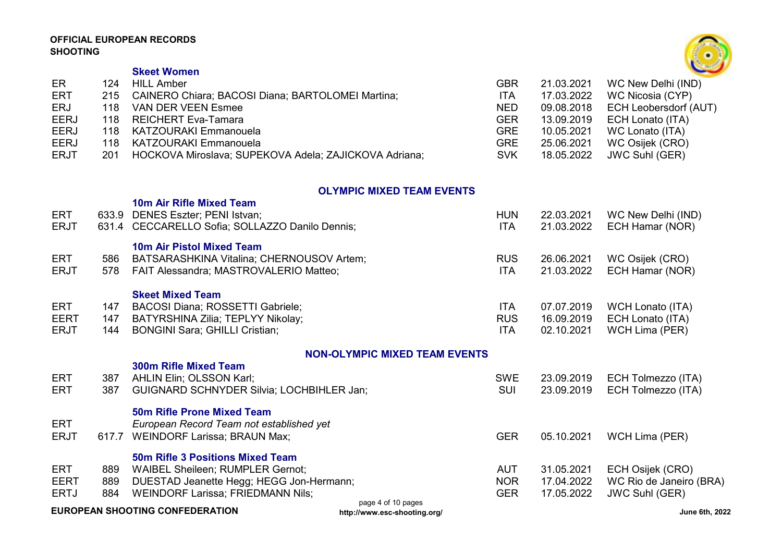

# Skeet Women

| ER          | 124  | <b>HILL Amber</b>                                     | <b>GBR</b> | 21.03.2021 | WC New Delhi (IND)               |
|-------------|------|-------------------------------------------------------|------------|------------|----------------------------------|
| ERT         | 215  | CAINERO Chiara; BACOSI Diana; BARTOLOMEI Martina;     | <b>ITA</b> | 17.03.2022 | WC Nicosia (CYP)                 |
| ERJ         | 118. | VAN DER VEEN Esmee                                    | <b>NED</b> |            | 09.08.2018 ECH Leobersdorf (AUT) |
| <b>EERJ</b> |      | 118 REICHERT Eva-Tamara                               | <b>GER</b> |            | 13.09.2019    ECH Lonato (ITA)   |
| <b>EERJ</b> |      | 118 KATZOURAKI Emmanouela                             | <b>GRE</b> | 10.05.2021 | WC Lonato (ITA)                  |
| <b>EERJ</b> |      | 118 KATZOURAKI Emmanouela                             | <b>GRE</b> | 25.06.2021 | WC Osijek (CRO)                  |
| <b>ERJT</b> | 201  | HOCKOVA Miroslava; SUPEKOVA Adela; ZAJICKOVA Adriana; | <b>SVK</b> | 18.05.2022 | JWC Suhl (GER)                   |

### OLYMPIC MIXED TEAM EVENTS

| ERT         | 633.9                                                                                                          | <b>10m Air Rifle Mixed Team</b><br>DENES Eszter; PENI Istvan; | <b>HUN</b> | 22.03.2021 | WC New Delhi (IND)      |
|-------------|----------------------------------------------------------------------------------------------------------------|---------------------------------------------------------------|------------|------------|-------------------------|
| <b>ERJT</b> |                                                                                                                | 631.4 CECCARELLO Sofia; SOLLAZZO Danilo Dennis;               | <b>ITA</b> | 21.03.2022 | ECH Hamar (NOR)         |
|             |                                                                                                                | 10m Air Pistol Mixed Team                                     |            |            |                         |
| <b>ERT</b>  | 586                                                                                                            | BATSARASHKINA Vitalina; CHERNOUSOV Artem;                     | <b>RUS</b> | 26.06.2021 | WC Osijek (CRO)         |
| <b>ERJT</b> | 578                                                                                                            | FAIT Alessandra; MASTROVALERIO Matteo;                        | <b>ITA</b> | 21.03.2022 | ECH Hamar (NOR)         |
|             |                                                                                                                | <b>Skeet Mixed Team</b>                                       |            |            |                         |
| <b>ERT</b>  | 147                                                                                                            | BACOSI Diana; ROSSETTI Gabriele;                              | <b>ITA</b> | 07.07.2019 | <b>WCH Lonato (ITA)</b> |
| <b>EERT</b> | 147                                                                                                            | BATYRSHINA Zilia; TEPLYY Nikolay;                             | <b>RUS</b> | 16.09.2019 | ECH Lonato (ITA)        |
| <b>ERJT</b> | 144                                                                                                            | <b>BONGINI Sara; GHILLI Cristian;</b>                         | <b>ITA</b> | 02.10.2021 | WCH Lima (PER)          |
|             |                                                                                                                | <b>NON-OLYMPIC MIXED TEAM EVENTS</b>                          |            |            |                         |
|             |                                                                                                                | <b>300m Rifle Mixed Team</b>                                  |            |            |                         |
| ERT         | 387                                                                                                            | <b>AHLIN Elin; OLSSON Karl;</b>                               | <b>SWE</b> | 23.09.2019 | ECH Tolmezzo (ITA)      |
| <b>ERT</b>  | 387                                                                                                            | <b>GUIGNARD SCHNYDER Silvia; LOCHBIHLER Jan;</b>              | SUI        | 23.09.2019 | ECH Tolmezzo (ITA)      |
|             |                                                                                                                | <b>50m Rifle Prone Mixed Team</b>                             |            |            |                         |
| ERT         |                                                                                                                | European Record Team not established yet                      |            |            |                         |
| <b>ERJT</b> | 617.7                                                                                                          | <b>WEINDORF Larissa; BRAUN Max;</b>                           | <b>GER</b> | 05.10.2021 | WCH Lima (PER)          |
|             |                                                                                                                | <b>50m Rifle 3 Positions Mixed Team</b>                       |            |            |                         |
| <b>ERT</b>  | 889                                                                                                            | <b>WAIBEL Sheileen; RUMPLER Gernot;</b>                       | AUT        | 31.05.2021 | ECH Osijek (CRO)        |
| <b>EERT</b> | 889                                                                                                            | DUESTAD Jeanette Hegg; HEGG Jon-Hermann;                      | <b>NOR</b> | 17.04.2022 | WC Rio de Janeiro (BRA) |
| <b>ERTJ</b> | 884                                                                                                            | <b>WEINDORF Larissa; FRIEDMANN Nils;</b>                      | <b>GER</b> | 17.05.2022 | <b>JWC Suhl (GER)</b>   |
|             | page 4 of 10 pages<br><b>EUROPEAN SHOOTING CONFEDERATION</b><br>June 6th, 2022<br>http://www.esc-shooting.org/ |                                                               |            |            |                         |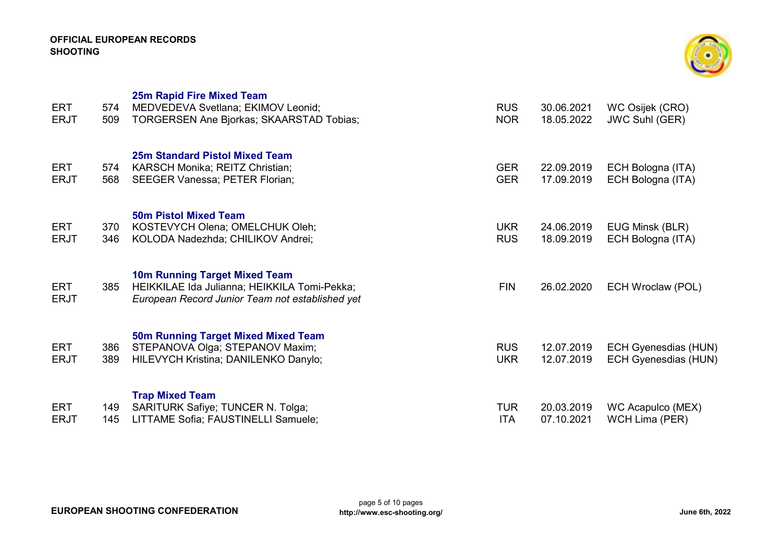

| ERT<br><b>ERJT</b>        | 574<br>509 | <b>25m Rapid Fire Mixed Team</b><br>MEDVEDEVA Svetlana; EKIMOV Leonid;<br><b>TORGERSEN Ane Bjorkas; SKAARSTAD Tobias;</b>        | <b>RUS</b><br><b>NOR</b> | 30.06.2021<br>18.05.2022 | WC Osijek (CRO)<br>JWC Suhl (GER)                          |
|---------------------------|------------|----------------------------------------------------------------------------------------------------------------------------------|--------------------------|--------------------------|------------------------------------------------------------|
| ERT<br><b>ERJT</b>        | 574<br>568 | 25m Standard Pistol Mixed Team<br>KARSCH Monika; REITZ Christian;<br><b>SEEGER Vanessa; PETER Florian;</b>                       | <b>GER</b><br><b>GER</b> | 22.09.2019<br>17.09.2019 | ECH Bologna (ITA)<br>ECH Bologna (ITA)                     |
| <b>ERT</b><br><b>ERJT</b> | 370<br>346 | <b>50m Pistol Mixed Team</b><br>KOSTEVYCH Olena; OMELCHUK Oleh;<br>KOLODA Nadezhda; CHILIKOV Andrei;                             | <b>UKR</b><br><b>RUS</b> | 24.06.2019<br>18.09.2019 | EUG Minsk (BLR)<br>ECH Bologna (ITA)                       |
| <b>ERT</b><br><b>ERJT</b> | 385        | 10m Running Target Mixed Team<br>HEIKKILAE Ida Julianna; HEIKKILA Tomi-Pekka;<br>European Record Junior Team not established yet | <b>FIN</b>               | 26.02.2020               | ECH Wroclaw (POL)                                          |
| <b>ERT</b><br><b>ERJT</b> | 386<br>389 | <b>50m Running Target Mixed Mixed Team</b><br>STEPANOVA Olga; STEPANOV Maxim;<br>HILEVYCH Kristina; DANILENKO Danylo;            | <b>RUS</b><br><b>UKR</b> | 12.07.2019<br>12.07.2019 | <b>ECH Gyenesdias (HUN)</b><br><b>ECH Gyenesdias (HUN)</b> |
| ERT<br><b>ERJT</b>        | 149<br>145 | <b>Trap Mixed Team</b><br><b>SARITURK Safiye; TUNCER N. Tolga;</b><br>LITTAME Sofia; FAUSTINELLI Samuele;                        | <b>TUR</b><br><b>ITA</b> | 20.03.2019<br>07.10.2021 | WC Acapulco (MEX)<br>WCH Lima (PER)                        |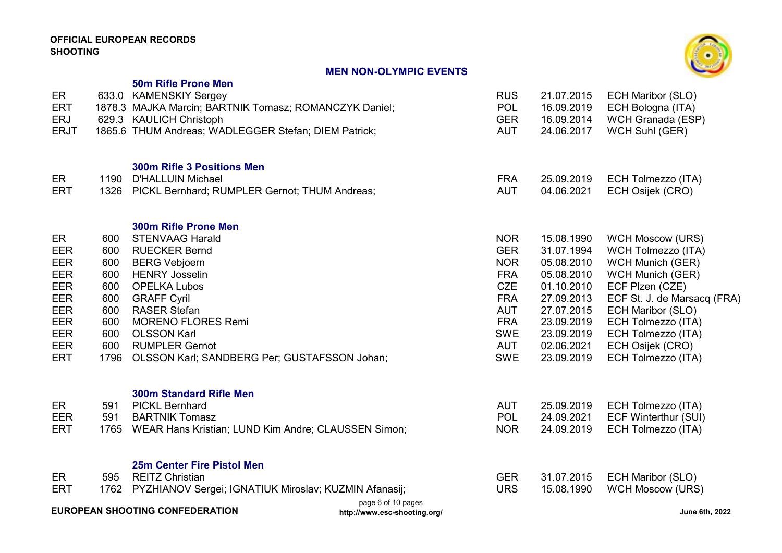# MEN NON-OLYMPIC EVENTS



| ER<br><b>ERT</b><br><b>ERJ</b><br><b>ERJT</b>                                                                                                  |                                                                            | <b>50m Rifle Prone Men</b><br>633.0 KAMENSKIY Sergey<br>1878.3 MAJKA Marcin; BARTNIK Tomasz; ROMANCZYK Daniel;<br>629.3 KAULICH Christoph<br>1865.6 THUM Andreas; WADLEGGER Stefan; DIEM Patrick;                                                                                                                              | <b>RUS</b><br><b>POL</b><br><b>GER</b><br><b>AUT</b>                                                                                                   | 21.07.2015<br>16.09.2019<br>16.09.2014<br>24.06.2017                                                                                                   | <b>ECH Maribor (SLO)</b><br>ECH Bologna (ITA)<br>WCH Granada (ESP)<br>WCH Suhl (GER)                                                                                                                                                                                    |
|------------------------------------------------------------------------------------------------------------------------------------------------|----------------------------------------------------------------------------|--------------------------------------------------------------------------------------------------------------------------------------------------------------------------------------------------------------------------------------------------------------------------------------------------------------------------------|--------------------------------------------------------------------------------------------------------------------------------------------------------|--------------------------------------------------------------------------------------------------------------------------------------------------------|-------------------------------------------------------------------------------------------------------------------------------------------------------------------------------------------------------------------------------------------------------------------------|
| ER<br><b>ERT</b>                                                                                                                               | 1190<br>1326                                                               | <b>300m Rifle 3 Positions Men</b><br><b>D'HALLUIN Michael</b><br>PICKL Bernhard; RUMPLER Gernot; THUM Andreas;                                                                                                                                                                                                                 | <b>FRA</b><br><b>AUT</b>                                                                                                                               | 25.09.2019<br>04.06.2021                                                                                                                               | ECH Tolmezzo (ITA)<br>ECH Osijek (CRO)                                                                                                                                                                                                                                  |
| ER<br><b>EER</b><br><b>EER</b><br><b>EER</b><br><b>EER</b><br><b>EER</b><br><b>EER</b><br><b>EER</b><br><b>EER</b><br><b>EER</b><br><b>ERT</b> | 600<br>600<br>600<br>600<br>600<br>600<br>600<br>600<br>600<br>600<br>1796 | <b>300m Rifle Prone Men</b><br><b>STENVAAG Harald</b><br><b>RUECKER Bernd</b><br><b>BERG Vebjoern</b><br><b>HENRY Josselin</b><br><b>OPELKA Lubos</b><br><b>GRAFF Cyril</b><br><b>RASER Stefan</b><br><b>MORENO FLORES Remi</b><br><b>OLSSON Karl</b><br><b>RUMPLER Gernot</b><br>OLSSON Karl; SANDBERG Per; GUSTAFSSON Johan; | <b>NOR</b><br><b>GER</b><br><b>NOR</b><br><b>FRA</b><br><b>CZE</b><br><b>FRA</b><br><b>AUT</b><br><b>FRA</b><br><b>SWE</b><br><b>AUT</b><br><b>SWE</b> | 15.08.1990<br>31.07.1994<br>05.08.2010<br>05.08.2010<br>01.10.2010<br>27.09.2013<br>27.07.2015<br>23.09.2019<br>23.09.2019<br>02.06.2021<br>23.09.2019 | <b>WCH Moscow (URS)</b><br>WCH Tolmezzo (ITA)<br><b>WCH Munich (GER)</b><br><b>WCH Munich (GER)</b><br>ECF Plzen (CZE)<br>ECF St. J. de Marsacq (FRA)<br><b>ECH Maribor (SLO)</b><br>ECH Tolmezzo (ITA)<br>ECH Tolmezzo (ITA)<br>ECH Osijek (CRO)<br>ECH Tolmezzo (ITA) |
| ER<br><b>EER</b><br><b>ERT</b>                                                                                                                 | 591<br>591                                                                 | <b>300m Standard Rifle Men</b><br><b>PICKL Bernhard</b><br><b>BARTNIK Tomasz</b><br>1765 WEAR Hans Kristian; LUND Kim Andre; CLAUSSEN Simon;                                                                                                                                                                                   | <b>AUT</b><br>POL<br><b>NOR</b>                                                                                                                        | 25.09.2019<br>24.09.2021<br>24.09.2019                                                                                                                 | ECH Tolmezzo (ITA)<br><b>ECF Winterthur (SUI)</b><br>ECH Tolmezzo (ITA)                                                                                                                                                                                                 |
| ER<br><b>ERT</b>                                                                                                                               | 595<br>1762                                                                | <b>25m Center Fire Pistol Men</b><br><b>REITZ Christian</b><br>PYZHIANOV Sergei; IGNATIUK Miroslav; KUZMIN Afanasij;<br>page 6 of 10 pages                                                                                                                                                                                     | <b>GER</b><br><b>URS</b>                                                                                                                               | 31.07.2015<br>15.08.1990                                                                                                                               | <b>ECH Maribor (SLO)</b><br><b>WCH Moscow (URS)</b>                                                                                                                                                                                                                     |

EUROPEAN SHOOTING CONFEDERATION

http://www.esc-shooting.org/ and the context of the context of the context of the context of the context of the context of the context of the context of the context of the context of the context of the context of the conte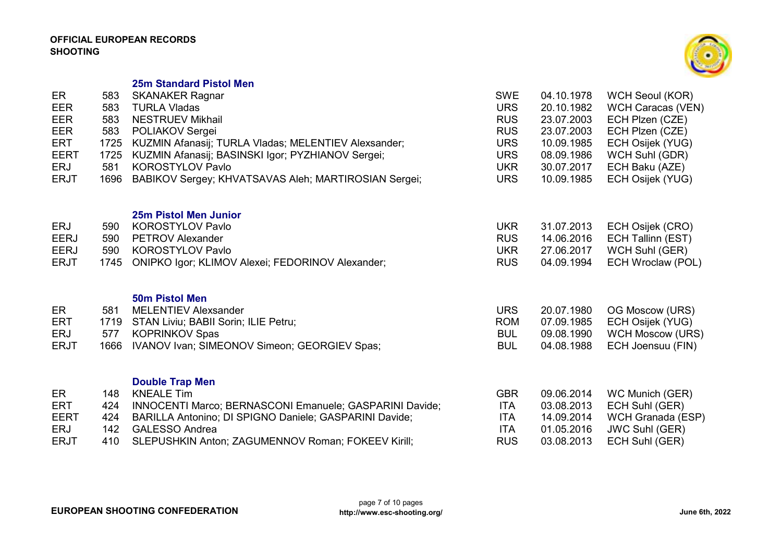

25m Standard Pistol Men

| ER<br><b>EER</b><br>EER<br>EER                  | 583<br>583<br>583<br>583    | <b>SKANAKER Ragnar</b><br><b>TURLA Vladas</b><br><b>NESTRUEV Mikhail</b><br>POLIAKOV Sergei                                                                                                  | <b>SWE</b><br><b>URS</b><br><b>RUS</b><br><b>RUS</b> | 04.10.1978<br>20.10.1982<br>23.07.2003<br>23.07.2003 | <b>WCH Seoul (KOR)</b><br><b>WCH Caracas (VEN)</b><br>ECH Plzen (CZE)<br>ECH Plzen (CZE) |
|-------------------------------------------------|-----------------------------|----------------------------------------------------------------------------------------------------------------------------------------------------------------------------------------------|------------------------------------------------------|------------------------------------------------------|------------------------------------------------------------------------------------------|
| <b>ERT</b><br><b>EERT</b><br>ERJ<br><b>ERJT</b> | 1725<br>1725<br>581<br>1696 | KUZMIN Afanasij; TURLA Vladas; MELENTIEV Alexsander;<br>KUZMIN Afanasij; BASINSKI Igor; PYZHIANOV Sergei;<br><b>KOROSTYLOV Pavlo</b><br>BABIKOV Sergey; KHVATSAVAS Aleh; MARTIROSIAN Sergei; | <b>URS</b><br><b>URS</b><br><b>UKR</b><br><b>URS</b> | 10.09.1985<br>08.09.1986<br>30.07.2017<br>10.09.1985 | ECH Osijek (YUG)<br>WCH Suhl (GDR)<br>ECH Baku (AZE)<br>ECH Osijek (YUG)                 |
| ERJ                                             | 590                         | 25m Pistol Men Junior<br><b>KOROSTYLOV Pavlo</b>                                                                                                                                             | <b>UKR</b>                                           | 31.07.2013                                           | ECH Osijek (CRO)                                                                         |
| <b>EERJ</b>                                     | 590                         | <b>PETROV Alexander</b>                                                                                                                                                                      | <b>RUS</b>                                           | 14.06.2016                                           | ECH Tallinn (EST)                                                                        |
| <b>EERJ</b><br><b>ERJT</b>                      | 590<br>1745                 | <b>KOROSTYLOV Pavlo</b>                                                                                                                                                                      | <b>UKR</b><br><b>RUS</b>                             | 27.06.2017<br>04.09.1994                             | WCH Suhl (GER)                                                                           |
|                                                 |                             | ONIPKO Igor; KLIMOV Alexei; FEDORINOV Alexander;                                                                                                                                             |                                                      |                                                      | ECH Wroclaw (POL)                                                                        |
| ER                                              | 581                         | <b>50m Pistol Men</b><br><b>MELENTIEV Alexsander</b>                                                                                                                                         | <b>URS</b>                                           | 20.07.1980                                           | OG Moscow (URS)                                                                          |
| <b>ERT</b>                                      | 1719                        | STAN Liviu; BABII Sorin; ILIE Petru;                                                                                                                                                         | <b>ROM</b>                                           | 07.09.1985                                           | ECH Osijek (YUG)                                                                         |
| ERJ                                             | 577                         | <b>KOPRINKOV Spas</b>                                                                                                                                                                        | <b>BUL</b>                                           | 09.08.1990                                           | <b>WCH Moscow (URS)</b>                                                                  |
| <b>ERJT</b>                                     | 1666                        | IVANOV Ivan; SIMEONOV Simeon; GEORGIEV Spas;                                                                                                                                                 | <b>BUL</b>                                           | 04.08.1988                                           | ECH Joensuu (FIN)                                                                        |
|                                                 |                             | <b>Double Trap Men</b>                                                                                                                                                                       |                                                      |                                                      |                                                                                          |
| ER<br><b>ERT</b>                                | 148<br>424                  | <b>KNEALE Tim</b><br>INNOCENTI Marco; BERNASCONI Emanuele; GASPARINI Davide;                                                                                                                 | <b>GBR</b><br><b>ITA</b>                             | 09.06.2014<br>03.08.2013                             | WC Munich (GER)<br>ECH Suhl (GER)                                                        |
| <b>EERT</b>                                     | 424                         | BARILLA Antonino; DI SPIGNO Daniele; GASPARINI Davide;                                                                                                                                       | <b>ITA</b>                                           | 14.09.2014                                           | WCH Granada (ESP)                                                                        |
| <b>ERJ</b>                                      | 142                         | <b>GALESSO Andrea</b>                                                                                                                                                                        | <b>ITA</b>                                           | 01.05.2016                                           | <b>JWC Suhl (GER)</b>                                                                    |
| <b>ERJT</b>                                     | 410                         | SLEPUSHKIN Anton; ZAGUMENNOV Roman; FOKEEV Kirill;                                                                                                                                           | <b>RUS</b>                                           | 03.08.2013                                           | ECH Suhl (GER)                                                                           |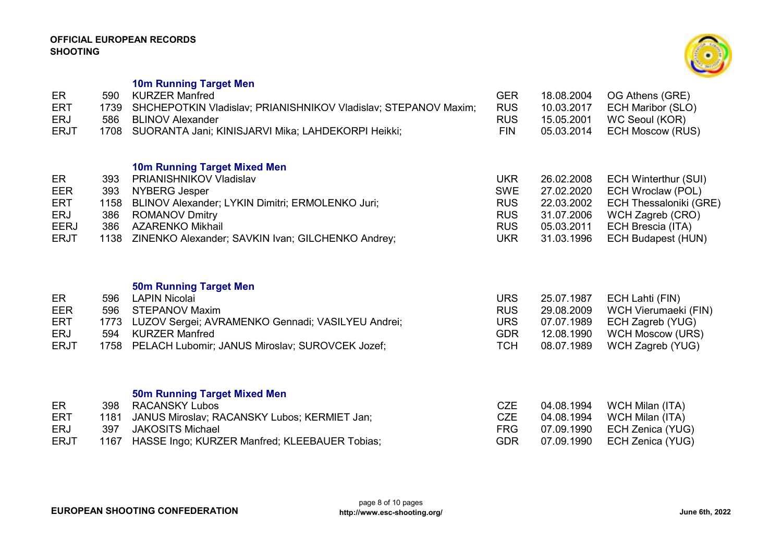10m Running Target Men

| ER.         | 590 KURZER Manfred                                                   | <b>GER</b> | 18.08.2004 | OG Athens (GRE)              |
|-------------|----------------------------------------------------------------------|------------|------------|------------------------------|
| <b>ERT</b>  | 1739 SHCHEPOTKIN Vladislav; PRIANISHNIKOV Vladislav; STEPANOV Maxim; | <b>RUS</b> |            |                              |
| <b>ERJ</b>  | 586 BLINOV Alexander                                                 | <b>RUS</b> | 15.05.2001 | WC Seoul (KOR)               |
| <b>ERJT</b> | 1708 SUORANTA Jani; KINISJARVI Mika; LAHDEKORPI Heikki;              | FIN.       |            | 05.03.2014    ECH Moscow (RU |

## 10m Running Target Mixed Men

| ER          | 393 | PRIANISHNIKOV Vladislav                                | <b>UKR</b> |            | 26.02.2008 ECH Winterthur (SUI)   |
|-------------|-----|--------------------------------------------------------|------------|------------|-----------------------------------|
| EER         |     | 393 NYBERG Jesper                                      | <b>SWE</b> |            | 27.02.2020 ECH Wroclaw (POL)      |
| ERT         |     | 1158 BLINOV Alexander; LYKIN Dimitri; ERMOLENKO Juri;  | <b>RUS</b> |            | 22.03.2002 ECH Thessaloniki (GRE) |
| ERJ         |     | 386 ROMANOV Dmitry                                     | <b>RUS</b> | 31.07.2006 | WCH Zagreb (CRO)                  |
| <b>EERJ</b> |     | 386 AZARENKO Mikhail                                   | <b>RUS</b> |            | 05.03.2011 ECH Brescia (ITA)      |
| <b>ERJT</b> |     | 1138 ZINENKO Alexander; SAVKIN Ivan; GILCHENKO Andrey; | <b>UKR</b> |            | 31.03.1996 ECH Budapest (HUN)     |

# 50m Running Target Men

| ECH Lahti (FIN)<br>25.07.1987      |
|------------------------------------|
| WCH Vierumaeki (FIN)<br>29.08.2009 |
| 07.07.1989 ECH Zagreb (YUG)        |
| WCH Moscow (URS)<br>12.08.1990     |
|                                    |
|                                    |

# 50m Running Target Mixed Men

| ER.         | 398 RACANSKY Lubos                                 | CZE        | 04.08.1994 WCH Milan (ITA)     |
|-------------|----------------------------------------------------|------------|--------------------------------|
| <b>ERT</b>  | 1181 JANUS Miroslav; RACANSKY Lubos; KERMIET Jan;  | <b>CZE</b> | 04.08.1994 WCH Milan (ITA)     |
| <b>ERJ</b>  | 397 JAKOSITS Michael                               | FRG.       | 07.09.1990    ECH Zenica (YUG) |
| <b>ERJT</b> | 1167 HASSE Ingo; KURZER Manfred; KLEEBAUER Tobias; | GDR        | 07.09.1990    ECH Zenica (YUG) |



RUS 10.03.2017 ECH Maribor (SLO)<br>RUS 15.05.2001 WC Seoul (KOR) RUS 15.05.2001 WC Seoul (KOR)<br>FIN 05.03.2014 ECH Moscow (RUS)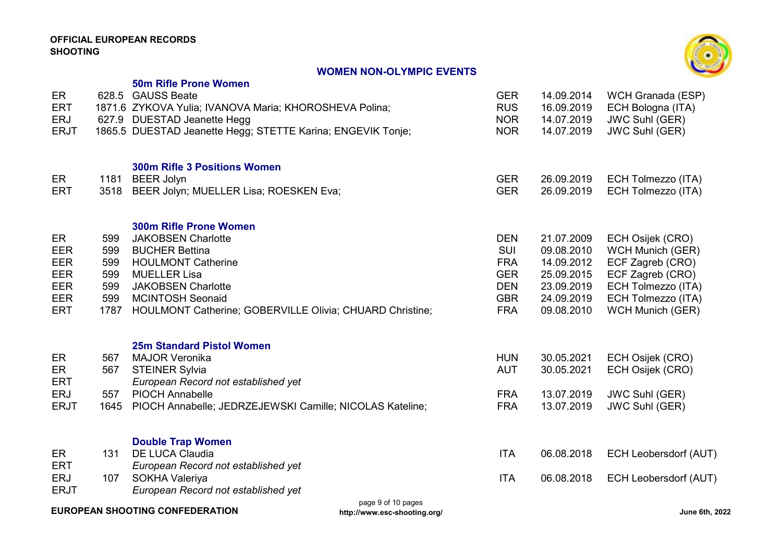## WOMEN NON-OLYMPIC EVENTS



|                           |             | UMEN NUN-ULTMI 10 LVLNTU                                                                                    |                          |                          |                                                |
|---------------------------|-------------|-------------------------------------------------------------------------------------------------------------|--------------------------|--------------------------|------------------------------------------------|
| ER<br><b>ERT</b>          |             | <b>50m Rifle Prone Women</b><br>628.5 GAUSS Beate<br>1871.6 ZYKOVA Yulia; IVANOVA Maria; KHOROSHEVA Polina; | <b>GER</b><br><b>RUS</b> | 14.09.2014<br>16.09.2019 | WCH Granada (ESP)<br>ECH Bologna (ITA)         |
| <b>ERJ</b><br><b>ERJT</b> |             | 627.9 DUESTAD Jeanette Hegg<br>1865.5 DUESTAD Jeanette Hegg; STETTE Karina; ENGEVIK Tonje;                  | <b>NOR</b><br><b>NOR</b> | 14.07.2019<br>14.07.2019 | <b>JWC Suhl (GER)</b><br><b>JWC Suhl (GER)</b> |
|                           |             | <b>300m Rifle 3 Positions Women</b>                                                                         |                          |                          |                                                |
| ER<br><b>ERT</b>          | 1181        | <b>BEER Jolyn</b><br>3518 BEER Jolyn; MUELLER Lisa; ROESKEN Eva;                                            | <b>GER</b><br><b>GER</b> | 26.09.2019<br>26.09.2019 | ECH Tolmezzo (ITA)<br>ECH Tolmezzo (ITA)       |
|                           | 599         | 300m Rifle Prone Women<br><b>JAKOBSEN Charlotte</b>                                                         | <b>DEN</b>               | 21.07.2009               |                                                |
| ER<br><b>EER</b>          | 599         | <b>BUCHER Bettina</b>                                                                                       | SUI                      | 09.08.2010               | ECH Osijek (CRO)<br><b>WCH Munich (GER)</b>    |
| <b>EER</b><br><b>EER</b>  | 599<br>599  | <b>HOULMONT Catherine</b><br><b>MUELLER Lisa</b>                                                            | <b>FRA</b><br><b>GER</b> | 14.09.2012<br>25.09.2015 | ECF Zagreb (CRO)<br>ECF Zagreb (CRO)           |
| <b>EER</b>                | 599         | <b>JAKOBSEN Charlotte</b>                                                                                   | <b>DEN</b>               | 23.09.2019               | ECH Tolmezzo (ITA)                             |
| EER<br><b>ERT</b>         | 599<br>1787 | <b>MCINTOSH Seonaid</b><br>HOULMONT Catherine; GOBERVILLE Olivia; CHUARD Christine;                         | <b>GBR</b><br><b>FRA</b> | 24.09.2019<br>09.08.2010 | ECH Tolmezzo (ITA)<br><b>WCH Munich (GER)</b>  |
|                           |             | <b>25m Standard Pistol Women</b>                                                                            |                          |                          |                                                |
| ER<br><b>ER</b>           | 567<br>567  | <b>MAJOR Veronika</b><br><b>STEINER Sylvia</b>                                                              | <b>HUN</b><br><b>AUT</b> | 30.05.2021<br>30.05.2021 | ECH Osijek (CRO)<br>ECH Osijek (CRO)           |
| <b>ERT</b>                |             | European Record not established yet                                                                         |                          |                          |                                                |
| <b>ERJ</b><br><b>ERJT</b> | 557<br>1645 | <b>PIOCH Annabelle</b><br>PIOCH Annabelle; JEDRZEJEWSKI Camille; NICOLAS Kateline;                          | <b>FRA</b><br><b>FRA</b> | 13.07.2019<br>13.07.2019 | <b>JWC Suhl (GER)</b><br><b>JWC Suhl (GER)</b> |
|                           |             |                                                                                                             |                          |                          |                                                |
| ER                        | 131         | <b>Double Trap Women</b><br><b>DE LUCA Claudia</b>                                                          | <b>ITA</b>               | 06.08.2018               | ECH Leobersdorf (AUT)                          |
| <b>ERT</b>                |             | European Record not established yet                                                                         |                          |                          |                                                |
| <b>ERJ</b><br><b>ERJT</b> | 107         | <b>SOKHA Valeriya</b><br>European Record not established yet                                                | <b>ITA</b>               | 06.08.2018               | ECH Leobersdorf (AUT)                          |

EUROPEAN SHOOTING CONFEDERATION

page 9 of 10 pages http://www.esc-shooting.org/ June 6th, 2022